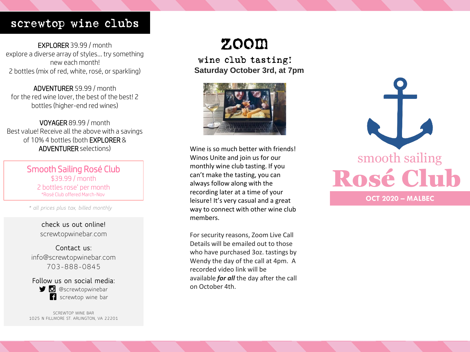## screwtop wine clubs

EXPLORER 39.99 / month explore a diverse array of styles… try something new each month! 2 bottles (mix of red, white, rosé, or sparkling)

ADVENTURER 59.99 / month for the red wine lover, the best of the best! 2 bottles (higher-end red wines)

VOYAGER 89.99 / month Best value! Receive all the above with a savings of 10% 4 bottles (both EXPLORER & ADVENTURER selections)

> Smooth Sailing Rosé Club \$39.99 / month 2 bottles rose' per month \*Rosé Club offered March-Nov

*\* all prices plus tax, billed monthly*

**check us out online!** screwtopwinebar.com

**Contact us:** info@screwtopwinebar.com 703-888-0845

**Follow us on social media: D** @screwtopwinebar **f** screwtop wine bar

SCREWTOP WINE BAR 1025 N FILLMORE ST. ARLINGTON, VA 22201

# zoom

wine club tasting! **Saturday October 3rd, at 7pm**



Wine is so much better with friends! Winos Unite and join us for our monthly wine club tasting. If you can't make the tasting, you can always follow along with the recording later at a time of your leisure! It's very casual and a great way to connect with other wine club members.

For security reasons, Zoom Live Call Details will be emailed out to those who have purchased 3oz. tastings by Wendy the day of the call at 4pm. A recorded video link will be available *for all* the day after the call on October 4th.

Rosé Club smooth sailing **OCT 2020 – MALBEC**